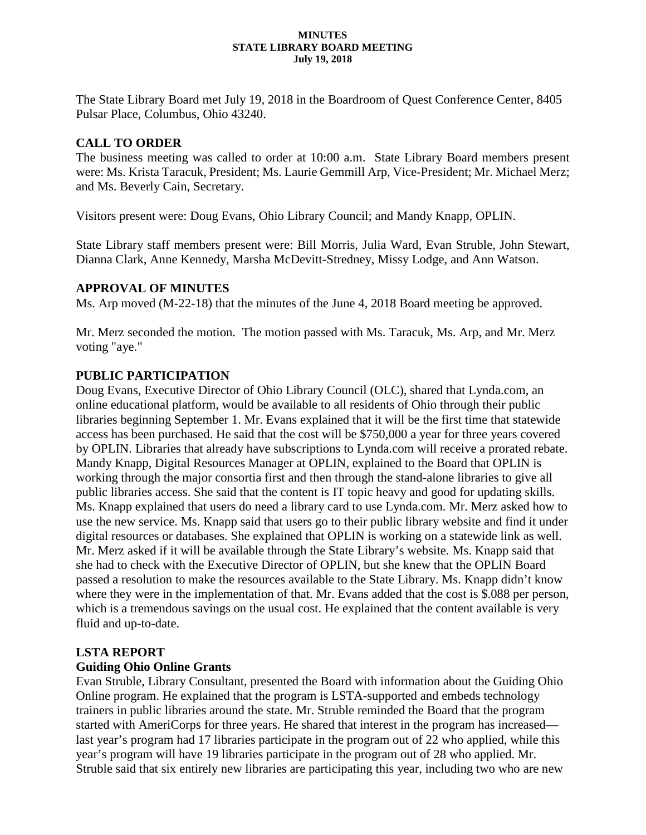#### **MINUTES STATE LIBRARY BOARD MEETING July 19, 2018**

The State Library Board met July 19, 2018 in the Boardroom of Quest Conference Center, 8405 Pulsar Place, Columbus, Ohio 43240.

# **CALL TO ORDER**

The business meeting was called to order at 10:00 a.m. State Library Board members present were: Ms. Krista Taracuk, President; Ms. Laurie Gemmill Arp, Vice-President; Mr. Michael Merz; and Ms. Beverly Cain, Secretary.

Visitors present were: Doug Evans, Ohio Library Council; and Mandy Knapp, OPLIN.

State Library staff members present were: Bill Morris, Julia Ward, Evan Struble, John Stewart, Dianna Clark, Anne Kennedy, Marsha McDevitt-Stredney, Missy Lodge, and Ann Watson.

# **APPROVAL OF MINUTES**

Ms. Arp moved (M-22-18) that the minutes of the June 4, 2018 Board meeting be approved.

Mr. Merz seconded the motion. The motion passed with Ms. Taracuk, Ms. Arp, and Mr. Merz voting "aye."

# **PUBLIC PARTICIPATION**

Doug Evans, Executive Director of Ohio Library Council (OLC), shared that Lynda.com, an online educational platform, would be available to all residents of Ohio through their public libraries beginning September 1. Mr. Evans explained that it will be the first time that statewide access has been purchased. He said that the cost will be \$750,000 a year for three years covered by OPLIN. Libraries that already have subscriptions to Lynda.com will receive a prorated rebate. Mandy Knapp, Digital Resources Manager at OPLIN, explained to the Board that OPLIN is working through the major consortia first and then through the stand-alone libraries to give all public libraries access. She said that the content is IT topic heavy and good for updating skills. Ms. Knapp explained that users do need a library card to use Lynda.com. Mr. Merz asked how to use the new service. Ms. Knapp said that users go to their public library website and find it under digital resources or databases. She explained that OPLIN is working on a statewide link as well. Mr. Merz asked if it will be available through the State Library's website. Ms. Knapp said that she had to check with the Executive Director of OPLIN, but she knew that the OPLIN Board passed a resolution to make the resources available to the State Library. Ms. Knapp didn't know where they were in the implementation of that. Mr. Evans added that the cost is \$.088 per person, which is a tremendous savings on the usual cost. He explained that the content available is very fluid and up-to-date.

# **LSTA REPORT**

# **Guiding Ohio Online Grants**

Evan Struble, Library Consultant, presented the Board with information about the Guiding Ohio Online program. He explained that the program is LSTA-supported and embeds technology trainers in public libraries around the state. Mr. Struble reminded the Board that the program started with AmeriCorps for three years. He shared that interest in the program has increased last year's program had 17 libraries participate in the program out of 22 who applied, while this year's program will have 19 libraries participate in the program out of 28 who applied. Mr. Struble said that six entirely new libraries are participating this year, including two who are new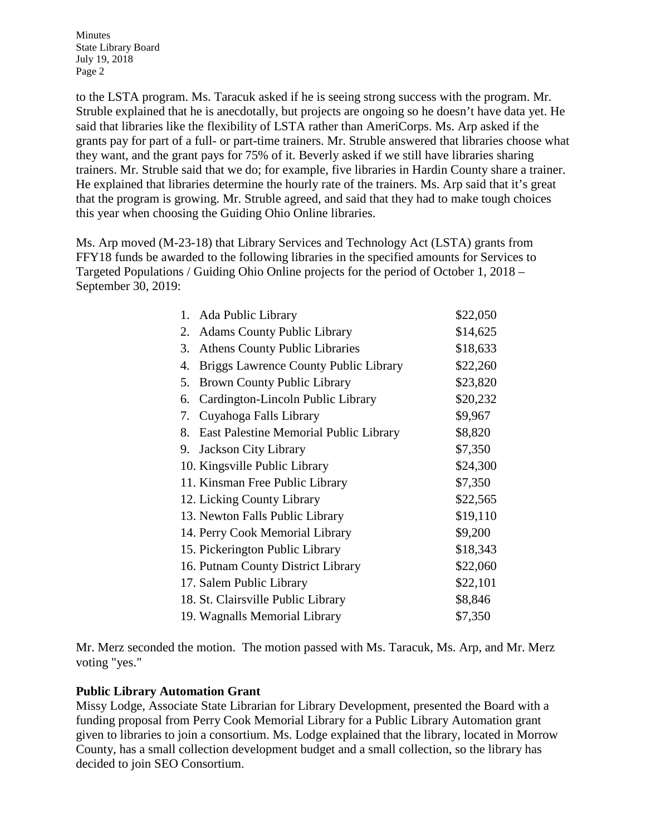Minutes State Library Board July 19, 2018 Page 2

to the LSTA program. Ms. Taracuk asked if he is seeing strong success with the program. Mr. Struble explained that he is anecdotally, but projects are ongoing so he doesn't have data yet. He said that libraries like the flexibility of LSTA rather than AmeriCorps. Ms. Arp asked if the grants pay for part of a full- or part-time trainers. Mr. Struble answered that libraries choose what they want, and the grant pays for 75% of it. Beverly asked if we still have libraries sharing trainers. Mr. Struble said that we do; for example, five libraries in Hardin County share a trainer. He explained that libraries determine the hourly rate of the trainers. Ms. Arp said that it's great that the program is growing. Mr. Struble agreed, and said that they had to make tough choices this year when choosing the Guiding Ohio Online libraries.

Ms. Arp moved (M-23-18) that Library Services and Technology Act (LSTA) grants from FFY18 funds be awarded to the following libraries in the specified amounts for Services to Targeted Populations / Guiding Ohio Online projects for the period of October 1, 2018 – September 30, 2019:

| 1. Ada Public Library                        | \$22,050 |
|----------------------------------------------|----------|
| <b>Adams County Public Library</b><br>2.     | \$14,625 |
| <b>Athens County Public Libraries</b><br>3.  | \$18,633 |
| Briggs Lawrence County Public Library<br>4.  | \$22,260 |
| Brown County Public Library<br>5.            | \$23,820 |
| Cardington-Lincoln Public Library<br>6.      | \$20,232 |
| Cuyahoga Falls Library<br>7.                 | \$9,967  |
| East Palestine Memorial Public Library<br>8. | \$8,820  |
| 9. Jackson City Library                      | \$7,350  |
| 10. Kingsville Public Library                | \$24,300 |
| 11. Kinsman Free Public Library              | \$7,350  |
| 12. Licking County Library                   | \$22,565 |
| 13. Newton Falls Public Library              | \$19,110 |
| 14. Perry Cook Memorial Library              | \$9,200  |
| 15. Pickerington Public Library              | \$18,343 |
| 16. Putnam County District Library           | \$22,060 |
| 17. Salem Public Library                     | \$22,101 |
| 18. St. Clairsville Public Library           | \$8,846  |
| 19. Wagnalls Memorial Library                | \$7,350  |

Mr. Merz seconded the motion. The motion passed with Ms. Taracuk, Ms. Arp, and Mr. Merz voting "yes."

### **Public Library Automation Grant**

Missy Lodge, Associate State Librarian for Library Development, presented the Board with a funding proposal from Perry Cook Memorial Library for a Public Library Automation grant given to libraries to join a consortium. Ms. Lodge explained that the library, located in Morrow County, has a small collection development budget and a small collection, so the library has decided to join SEO Consortium.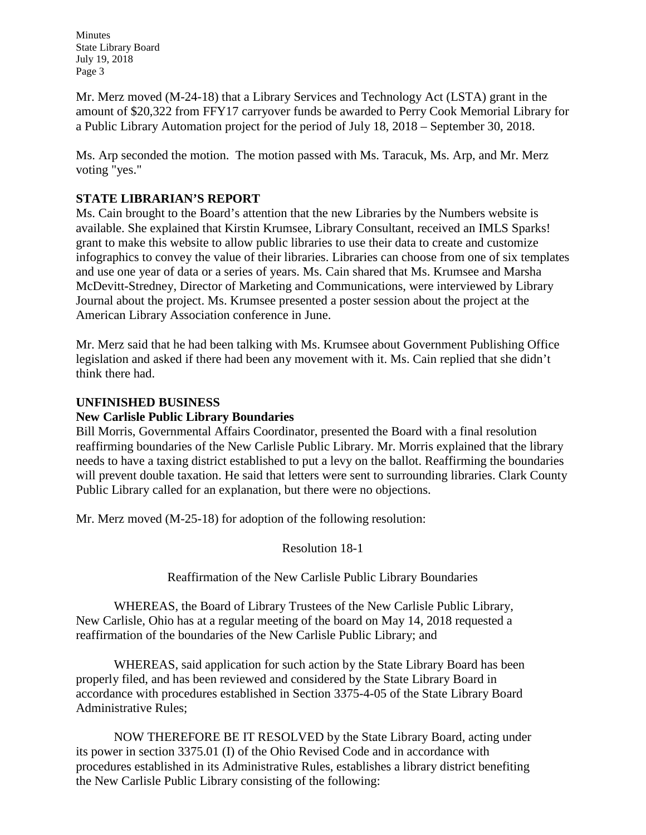Minutes State Library Board July 19, 2018 Page 3

Mr. Merz moved (M-24-18) that a Library Services and Technology Act (LSTA) grant in the amount of \$20,322 from FFY17 carryover funds be awarded to Perry Cook Memorial Library for a Public Library Automation project for the period of July 18, 2018 – September 30, 2018.

Ms. Arp seconded the motion. The motion passed with Ms. Taracuk, Ms. Arp, and Mr. Merz voting "yes."

# **STATE LIBRARIAN'S REPORT**

Ms. Cain brought to the Board's attention that the new Libraries by the Numbers website is available. She explained that Kirstin Krumsee, Library Consultant, received an IMLS Sparks! grant to make this website to allow public libraries to use their data to create and customize infographics to convey the value of their libraries. Libraries can choose from one of six templates and use one year of data or a series of years. Ms. Cain shared that Ms. Krumsee and Marsha McDevitt-Stredney, Director of Marketing and Communications, were interviewed by Library Journal about the project. Ms. Krumsee presented a poster session about the project at the American Library Association conference in June.

Mr. Merz said that he had been talking with Ms. Krumsee about Government Publishing Office legislation and asked if there had been any movement with it. Ms. Cain replied that she didn't think there had.

### **UNFINISHED BUSINESS**

### **New Carlisle Public Library Boundaries**

Bill Morris, Governmental Affairs Coordinator, presented the Board with a final resolution reaffirming boundaries of the New Carlisle Public Library. Mr. Morris explained that the library needs to have a taxing district established to put a levy on the ballot. Reaffirming the boundaries will prevent double taxation. He said that letters were sent to surrounding libraries. Clark County Public Library called for an explanation, but there were no objections.

Mr. Merz moved (M-25-18) for adoption of the following resolution:

Resolution 18-1

Reaffirmation of the New Carlisle Public Library Boundaries

WHEREAS, the Board of Library Trustees of the New Carlisle Public Library, New Carlisle, Ohio has at a regular meeting of the board on May 14, 2018 requested a reaffirmation of the boundaries of the New Carlisle Public Library; and

WHEREAS, said application for such action by the State Library Board has been properly filed, and has been reviewed and considered by the State Library Board in accordance with procedures established in Section 3375-4-05 of the State Library Board Administrative Rules;

NOW THEREFORE BE IT RESOLVED by the State Library Board, acting under its power in section 3375.01 (I) of the Ohio Revised Code and in accordance with procedures established in its Administrative Rules, establishes a library district benefiting the New Carlisle Public Library consisting of the following: